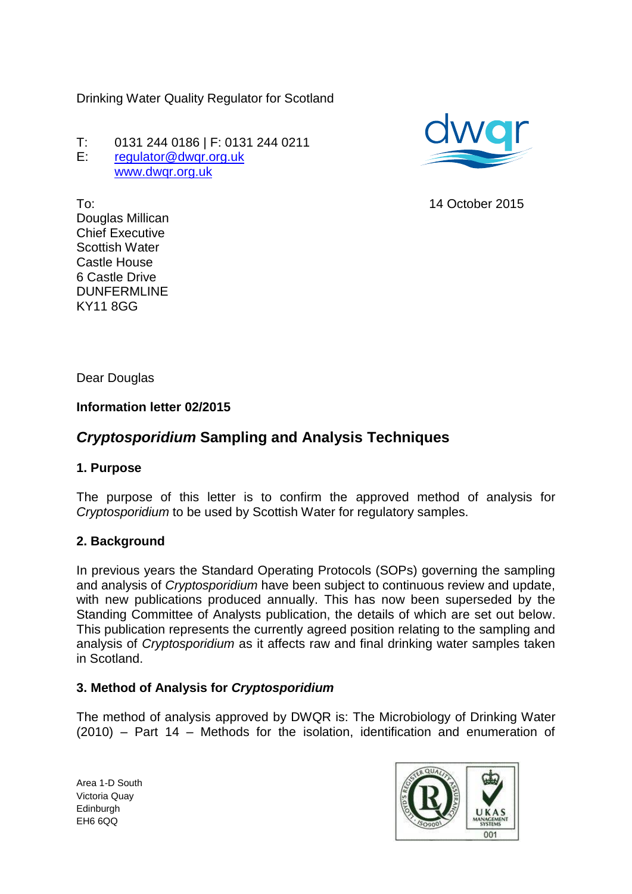Drinking Water Quality Regulator for Scotland

T: 0131 244 0186 | F: 0131 244 0211 E: [regulator@dwqr.org.uk](mailto:regulator@dwqr.org.uk)  [www.dwqr.org.uk](http://www.dwqr.org.uk/)



14 October 2015

To: Douglas Millican Chief Executive Scottish Water Castle House 6 Castle Drive DUNFERMLINE KY11 8GG

Dear Douglas

#### **Information letter 02/2015**

# *Cryptosporidium* **Sampling and Analysis Techniques**

#### **1. Purpose**

The purpose of this letter is to confirm the approved method of analysis for *Cryptosporidium* to be used by Scottish Water for regulatory samples.

#### **2. Background**

In previous years the Standard Operating Protocols (SOPs) governing the sampling and analysis of *Cryptosporidium* have been subject to continuous review and update, with new publications produced annually. This has now been superseded by the Standing Committee of Analysts publication, the details of which are set out below. This publication represents the currently agreed position relating to the sampling and analysis of *Cryptosporidium* as it affects raw and final drinking water samples taken in Scotland.

#### **3. Method of Analysis for** *Cryptosporidium*

The method of analysis approved by DWQR is: The Microbiology of Drinking Water (2010) – Part 14 – Methods for the isolation, identification and enumeration of

Area 1-D South Victoria Quay **Edinburgh** EH6 6QQ